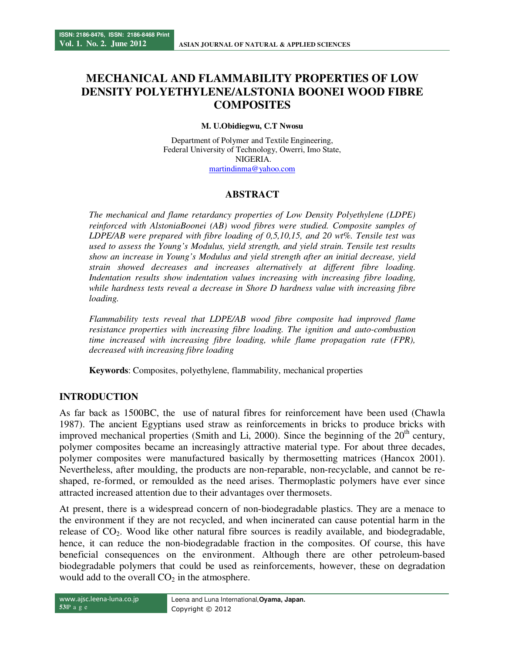# **MECHANICAL AND FLAMMABILITY PROPERTIES OF LOW DENSITY POLYETHYLENE/ALSTONIA BOONEI WOOD FIBRE COMPOSITES**

#### **M. U.Obidiegwu, C.T Nwosu**

Department of Polymer and Textile Engineering, Federal University of Technology, Owerri, Imo State, NIGERIA. martindinma@yahoo.com

### **ABSTRACT**

*The mechanical and flame retardancy properties of Low Density Polyethylene (LDPE) reinforced with AlstoniaBoonei (AB) wood fibres were studied. Composite samples of LDPE/AB were prepared with fibre loading of 0,5,10,15, and 20 wt%. Tensile test was used to assess the Young's Modulus, yield strength, and yield strain. Tensile test results show an increase in Young's Modulus and yield strength after an initial decrease, yield strain showed decreases and increases alternatively at different fibre loading. Indentation results show indentation values increasing with increasing fibre loading, while hardness tests reveal a decrease in Shore D hardness value with increasing fibre loading.* 

*Flammability tests reveal that LDPE/AB wood fibre composite had improved flame resistance properties with increasing fibre loading. The ignition and auto-combustion time increased with increasing fibre loading, while flame propagation rate (FPR), decreased with increasing fibre loading* 

**Keywords**: Composites, polyethylene, flammability, mechanical properties

# **INTRODUCTION**

As far back as 1500BC, the use of natural fibres for reinforcement have been used (Chawla 1987). The ancient Egyptians used straw as reinforcements in bricks to produce bricks with improved mechanical properties (Smith and Li, 2000). Since the beginning of the  $20<sup>th</sup>$  century, polymer composites became an increasingly attractive material type. For about three decades, polymer composites were manufactured basically by thermosetting matrices (Hancox 2001). Nevertheless, after moulding, the products are non-reparable, non-recyclable, and cannot be reshaped, re-formed, or remoulded as the need arises. Thermoplastic polymers have ever since attracted increased attention due to their advantages over thermosets.

At present, there is a widespread concern of non-biodegradable plastics. They are a menace to the environment if they are not recycled, and when incinerated can cause potential harm in the release of  $CO<sub>2</sub>$ . Wood like other natural fibre sources is readily available, and biodegradable, hence, it can reduce the non-biodegradable fraction in the composites. Of course, this have beneficial consequences on the environment. Although there are other petroleum-based biodegradable polymers that could be used as reinforcements, however, these on degradation would add to the overall  $CO<sub>2</sub>$  in the atmosphere.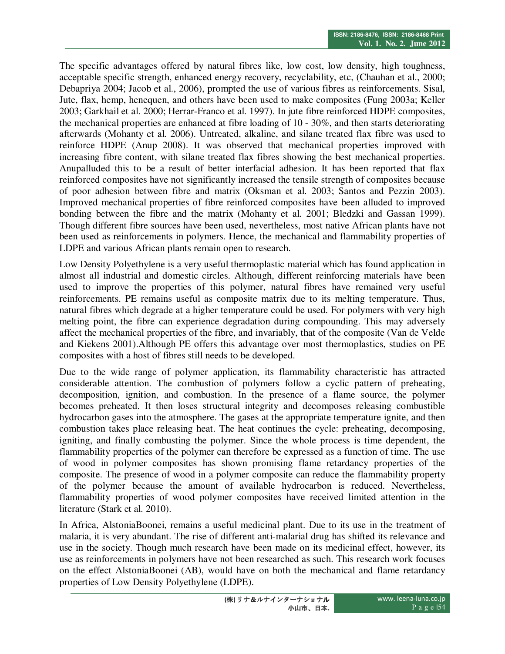The specific advantages offered by natural fibres like, low cost, low density, high toughness, acceptable specific strength, enhanced energy recovery, recyclability, etc, (Chauhan et al., 2000; Debapriya 2004; Jacob et al., 2006), prompted the use of various fibres as reinforcements. Sisal, Jute, flax, hemp, henequen, and others have been used to make composites (Fung 2003a; Keller 2003; Garkhail et al. 2000; Herrar-Franco et al. 1997). In jute fibre reinforced HDPE composites, the mechanical properties are enhanced at fibre loading of 10 - 30%, and then starts deteriorating afterwards (Mohanty et al. 2006). Untreated, alkaline, and silane treated flax fibre was used to reinforce HDPE (Anup 2008). It was observed that mechanical properties improved with increasing fibre content, with silane treated flax fibres showing the best mechanical properties. Anupalluded this to be a result of better interfacial adhesion. It has been reported that flax reinforced composites have not significantly increased the tensile strength of composites because of poor adhesion between fibre and matrix (Oksman et al. 2003; Santos and Pezzin 2003). Improved mechanical properties of fibre reinforced composites have been alluded to improved bonding between the fibre and the matrix (Mohanty et al. 2001; Bledzki and Gassan 1999). Though different fibre sources have been used, nevertheless, most native African plants have not been used as reinforcements in polymers. Hence, the mechanical and flammability properties of LDPE and various African plants remain open to research.

Low Density Polyethylene is a very useful thermoplastic material which has found application in almost all industrial and domestic circles. Although, different reinforcing materials have been used to improve the properties of this polymer, natural fibres have remained very useful reinforcements. PE remains useful as composite matrix due to its melting temperature. Thus, natural fibres which degrade at a higher temperature could be used. For polymers with very high melting point, the fibre can experience degradation during compounding. This may adversely affect the mechanical properties of the fibre, and invariably, that of the composite (Van de Velde and Kiekens 2001).Although PE offers this advantage over most thermoplastics, studies on PE composites with a host of fibres still needs to be developed.

Due to the wide range of polymer application, its flammability characteristic has attracted considerable attention. The combustion of polymers follow a cyclic pattern of preheating, decomposition, ignition, and combustion. In the presence of a flame source, the polymer becomes preheated. It then loses structural integrity and decomposes releasing combustible hydrocarbon gases into the atmosphere. The gases at the appropriate temperature ignite, and then combustion takes place releasing heat. The heat continues the cycle: preheating, decomposing, igniting, and finally combusting the polymer. Since the whole process is time dependent, the flammability properties of the polymer can therefore be expressed as a function of time. The use of wood in polymer composites has shown promising flame retardancy properties of the composite. The presence of wood in a polymer composite can reduce the flammability property of the polymer because the amount of available hydrocarbon is reduced. Nevertheless, flammability properties of wood polymer composites have received limited attention in the literature (Stark et al. 2010).

In Africa, AlstoniaBoonei, remains a useful medicinal plant. Due to its use in the treatment of malaria, it is very abundant. The rise of different anti-malarial drug has shifted its relevance and use in the society. Though much research have been made on its medicinal effect, however, its use as reinforcements in polymers have not been researched as such. This research work focuses on the effect AlstoniaBoonei (AB), would have on both the mechanical and flame retardancy properties of Low Density Polyethylene (LDPE).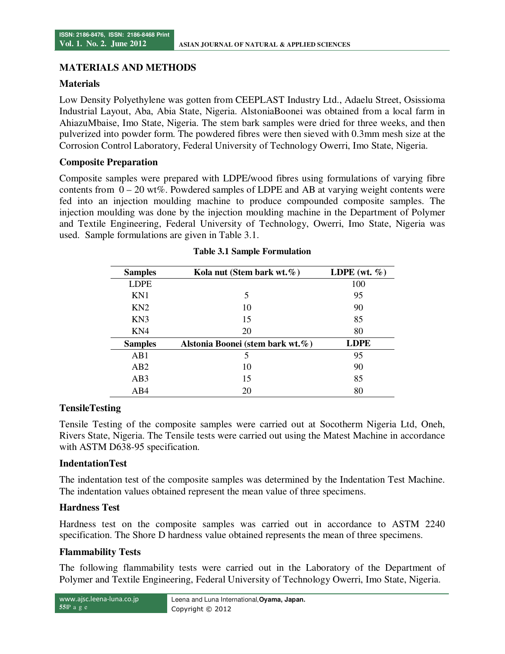### **MATERIALS AND METHODS**

### **Materials**

Low Density Polyethylene was gotten from CEEPLAST Industry Ltd., Adaelu Street, Osissioma Industrial Layout, Aba, Abia State, Nigeria. AlstoniaBoonei was obtained from a local farm in AhiazuMbaise, Imo State, Nigeria. The stem bark samples were dried for three weeks, and then pulverized into powder form. The powdered fibres were then sieved with 0.3mm mesh size at the Corrosion Control Laboratory, Federal University of Technology Owerri, Imo State, Nigeria.

#### **Composite Preparation**

Composite samples were prepared with LDPE/wood fibres using formulations of varying fibre contents from  $0 - 20$  wt%. Powdered samples of LDPE and AB at varying weight contents were fed into an injection moulding machine to produce compounded composite samples. The injection moulding was done by the injection moulding machine in the Department of Polymer and Textile Engineering, Federal University of Technology, Owerri, Imo State, Nigeria was used. Sample formulations are given in Table 3.1.

| <b>Samples</b>  | Kola nut (Stem bark wt. $\%$ )   | LDPE (wt. $\%$ ) |
|-----------------|----------------------------------|------------------|
| <b>LDPE</b>     |                                  | 100              |
| KN1             | 5                                | 95               |
| KN2             | 10                               | 90               |
| KN3             | 15                               | 85               |
| KN4             | 20                               | 80               |
| <b>Samples</b>  | Alstonia Boonei (stem bark wt.%) | <b>LDPE</b>      |
| AB1             | 5                                | 95               |
| AB2             | 10                               | 90               |
| AB <sub>3</sub> | 15                               | 85               |
| AB4             | 20                               | 80               |

#### **Table 3.1 Sample Formulation**

### **TensileTesting**

Tensile Testing of the composite samples were carried out at Socotherm Nigeria Ltd, Oneh, Rivers State, Nigeria. The Tensile tests were carried out using the Matest Machine in accordance with ASTM D638-95 specification.

#### **IndentationTest**

The indentation test of the composite samples was determined by the Indentation Test Machine. The indentation values obtained represent the mean value of three specimens.

### **Hardness Test**

Hardness test on the composite samples was carried out in accordance to ASTM 2240 specification. The Shore D hardness value obtained represents the mean of three specimens.

#### **Flammability Tests**

The following flammability tests were carried out in the Laboratory of the Department of Polymer and Textile Engineering, Federal University of Technology Owerri, Imo State, Nigeria.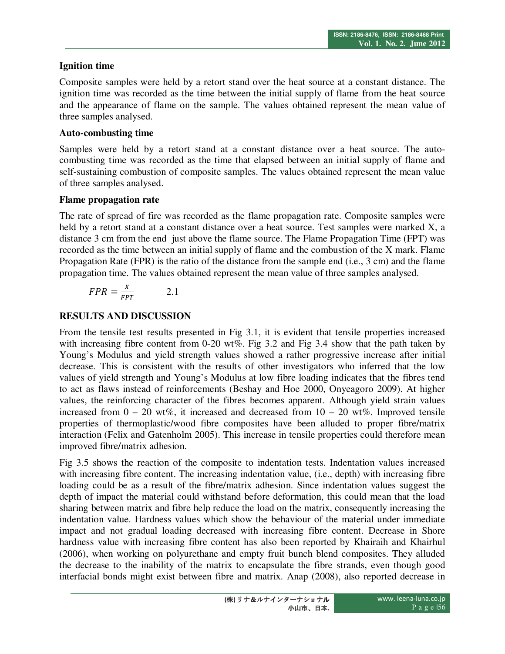# **Ignition time**

Composite samples were held by a retort stand over the heat source at a constant distance. The ignition time was recorded as the time between the initial supply of flame from the heat source and the appearance of flame on the sample. The values obtained represent the mean value of three samples analysed.

## **Auto-combusting time**

Samples were held by a retort stand at a constant distance over a heat source. The autocombusting time was recorded as the time that elapsed between an initial supply of flame and self-sustaining combustion of composite samples. The values obtained represent the mean value of three samples analysed.

### **Flame propagation rate**

The rate of spread of fire was recorded as the flame propagation rate. Composite samples were held by a retort stand at a constant distance over a heat source. Test samples were marked X, a distance 3 cm from the end just above the flame source. The Flame Propagation Time (FPT) was recorded as the time between an initial supply of flame and the combustion of the X mark. Flame Propagation Rate (FPR) is the ratio of the distance from the sample end (i.e., 3 cm) and the flame propagation time. The values obtained represent the mean value of three samples analysed.

$$
FPR = \frac{x}{FPT} \qquad \qquad 2.1
$$

# **RESULTS AND DISCUSSION**

From the tensile test results presented in Fig 3.1, it is evident that tensile properties increased with increasing fibre content from 0-20 wt%. Fig 3.2 and Fig 3.4 show that the path taken by Young's Modulus and yield strength values showed a rather progressive increase after initial decrease. This is consistent with the results of other investigators who inferred that the low values of yield strength and Young's Modulus at low fibre loading indicates that the fibres tend to act as flaws instead of reinforcements (Beshay and Hoe 2000, Onyeagoro 2009). At higher values, the reinforcing character of the fibres becomes apparent. Although yield strain values increased from  $0 - 20$  wt%, it increased and decreased from  $10 - 20$  wt%. Improved tensile properties of thermoplastic/wood fibre composites have been alluded to proper fibre/matrix interaction (Felix and Gatenholm 2005). This increase in tensile properties could therefore mean improved fibre/matrix adhesion.

Fig 3.5 shows the reaction of the composite to indentation tests. Indentation values increased with increasing fibre content. The increasing indentation value, (i.e., depth) with increasing fibre loading could be as a result of the fibre/matrix adhesion. Since indentation values suggest the depth of impact the material could withstand before deformation, this could mean that the load sharing between matrix and fibre help reduce the load on the matrix, consequently increasing the indentation value. Hardness values which show the behaviour of the material under immediate impact and not gradual loading decreased with increasing fibre content. Decrease in Shore hardness value with increasing fibre content has also been reported by Khairaih and Khairhul (2006), when working on polyurethane and empty fruit bunch blend composites. They alluded the decrease to the inability of the matrix to encapsulate the fibre strands, even though good interfacial bonds might exist between fibre and matrix. Anap (2008), also reported decrease in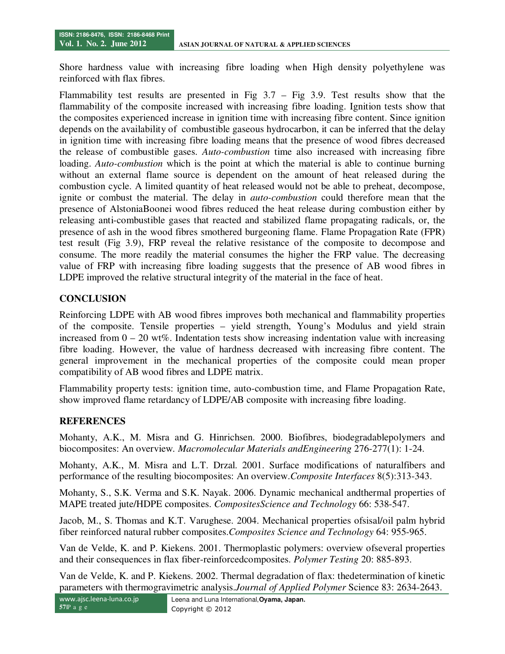Shore hardness value with increasing fibre loading when High density polyethylene was reinforced with flax fibres.

Flammability test results are presented in Fig  $3.7 - Fig$  3.9. Test results show that the flammability of the composite increased with increasing fibre loading. Ignition tests show that the composites experienced increase in ignition time with increasing fibre content. Since ignition depends on the availability of combustible gaseous hydrocarbon, it can be inferred that the delay in ignition time with increasing fibre loading means that the presence of wood fibres decreased the release of combustible gases. *Auto-combustion* time also increased with increasing fibre loading. *Auto-combustion* which is the point at which the material is able to continue burning without an external flame source is dependent on the amount of heat released during the combustion cycle. A limited quantity of heat released would not be able to preheat, decompose, ignite or combust the material. The delay in *auto-combustion* could therefore mean that the presence of AlstoniaBoonei wood fibres reduced the heat release during combustion either by releasing anti-combustible gases that reacted and stabilized flame propagating radicals, or, the presence of ash in the wood fibres smothered burgeoning flame. Flame Propagation Rate (FPR) test result (Fig 3.9), FRP reveal the relative resistance of the composite to decompose and consume. The more readily the material consumes the higher the FRP value. The decreasing value of FRP with increasing fibre loading suggests that the presence of AB wood fibres in LDPE improved the relative structural integrity of the material in the face of heat.

# **CONCLUSION**

Reinforcing LDPE with AB wood fibres improves both mechanical and flammability properties of the composite. Tensile properties – yield strength, Young's Modulus and yield strain increased from  $0 - 20$  wt%. Indentation tests show increasing indentation value with increasing fibre loading. However, the value of hardness decreased with increasing fibre content. The general improvement in the mechanical properties of the composite could mean proper compatibility of AB wood fibres and LDPE matrix.

Flammability property tests: ignition time, auto-combustion time, and Flame Propagation Rate, show improved flame retardancy of LDPE/AB composite with increasing fibre loading.

# **REFERENCES**

Mohanty, A.K., M. Misra and G. Hinrichsen. 2000. Biofibres, biodegradablepolymers and biocomposites: An overview*. Macromolecular Materials andEngineering* 276-277(1): 1-24.

Mohanty, A.K., M. Misra and L.T. Drzal. 2001. Surface modifications of naturalfibers and performance of the resulting biocomposites: An overview.*Composite Interfaces* 8(5):313-343.

Mohanty, S., S.K. Verma and S.K. Nayak. 2006. Dynamic mechanical andthermal properties of MAPE treated jute/HDPE composites. *CompositesScience and Technology* 66: 538-547.

Jacob, M., S. Thomas and K.T. Varughese. 2004. Mechanical properties ofsisal/oil palm hybrid fiber reinforced natural rubber composites.*Composites Science and Technology* 64: 955-965.

Van de Velde, K. and P. Kiekens. 2001. Thermoplastic polymers: overview ofseveral properties and their consequences in flax fiber-reinforcedcomposites. *Polymer Testing* 20: 885-893.

Van de Velde, K. and P. Kiekens. 2002. Thermal degradation of flax: thedetermination of kinetic parameters with thermogravimetric analysis.*Journal of Applied Polymer* Science 83: 2634-2643.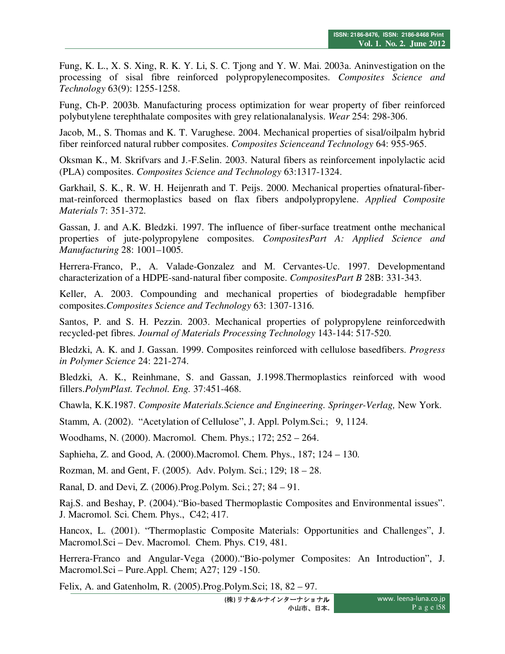Fung, K. L., X. S. Xing, R. K. Y. Li, S. C. Tjong and Y. W. Mai. 2003a. Aninvestigation on the processing of sisal fibre reinforced polypropylenecomposites. *Composites Science and Technology* 63(9): 1255-1258.

Fung, Ch-P. 2003b. Manufacturing process optimization for wear property of fiber reinforced polybutylene terephthalate composites with grey relationalanalysis. *Wear* 254: 298-306.

Jacob, M., S. Thomas and K. T. Varughese. 2004. Mechanical properties of sisal/oilpalm hybrid fiber reinforced natural rubber composites. *Composites Scienceand Technology* 64: 955-965.

Oksman K., M. Skrifvars and J.-F.Selin. 2003. Natural fibers as reinforcement inpolylactic acid (PLA) composites. *Composites Science and Technology* 63:1317-1324.

Garkhail, S. K., R. W. H. Heijenrath and T. Peijs. 2000. Mechanical properties ofnatural-fibermat-reinforced thermoplastics based on flax fibers andpolypropylene. *Applied Composite Materials* 7: 351-372.

Gassan, J. and A.K. Bledzki. 1997. The influence of fiber-surface treatment onthe mechanical properties of jute-polypropylene composites. *CompositesPart A: Applied Science and Manufacturing* 28: 1001–1005.

Herrera-Franco, P., A. Valade-Gonzalez and M. Cervantes-Uc. 1997. Developmentand characterization of a HDPE-sand-natural fiber composite. *CompositesPart B* 28B: 331-343.

Keller, A. 2003. Compounding and mechanical properties of biodegradable hempfiber composites.*Composites Science and Technology* 63: 1307-1316.

Santos, P. and S. H. Pezzin. 2003. Mechanical properties of polypropylene reinforcedwith recycled-pet fibres. *Journal of Materials Processing Technology* 143-144: 517-520.

Bledzki, A. K. and J. Gassan. 1999. Composites reinforced with cellulose basedfibers. *Progress in Polymer Science* 24: 221-274.

Bledzki, A. K., Reinhmane, S. and Gassan, J.1998.Thermoplastics reinforced with wood fillers.*PolymPlast. Technol. Eng.* 37:451-468.

Chawla, K.K.1987. *Composite Materials.Science and Engineering. Springer-Verlag,* New York.

Stamm, A. (2002). "Acetylation of Cellulose", J. Appl. Polym.Sci.; 9, 1124.

Woodhams, N. (2000). Macromol. Chem. Phys.; 172; 252 – 264.

Saphieha, Z. and Good, A. (2000).Macromol. Chem. Phys., 187; 124 – 130.

Rozman, M. and Gent, F. (2005). Adv. Polym. Sci.; 129; 18 – 28.

Ranal, D. and Devi, Z. (2006).Prog.Polym. Sci.; 27; 84 – 91.

Raj.S. and Beshay, P. (2004)."Bio-based Thermoplastic Composites and Environmental issues". J. Macromol. Sci. Chem. Phys., C42; 417.

Hancox, L. (2001). "Thermoplastic Composite Materials: Opportunities and Challenges", J. Macromol.Sci – Dev. Macromol. Chem. Phys. C19, 481.

Herrera-Franco and Angular-Vega (2000)."Bio-polymer Composites: An Introduction", J. Macromol.Sci – Pure.Appl. Chem; A27; 129 -150.

Felix, A. and Gatenholm, R. (2005).Prog.Polym.Sci; 18, 82 – 97.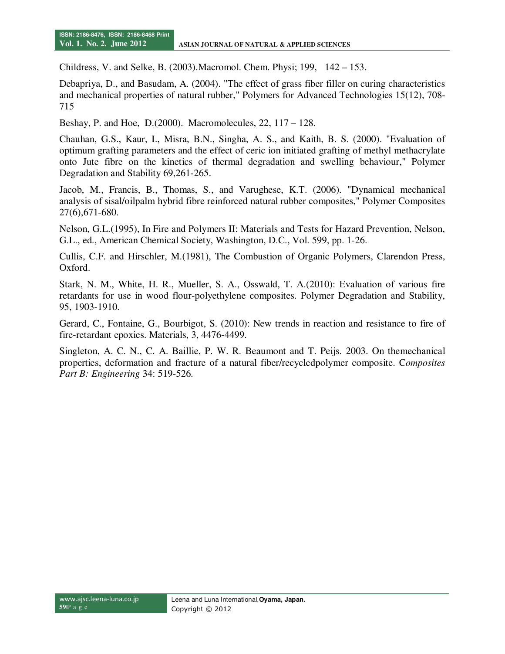Childress, V. and Selke, B. (2003).Macromol. Chem. Physi; 199, 142 – 153.

Debapriya, D., and Basudam, A. (2004). "The effect of grass fiber filler on curing characteristics and mechanical properties of natural rubber," Polymers for Advanced Technologies 15(12), 708- 715

Beshay, P. and Hoe, D.(2000). Macromolecules, 22, 117 – 128.

Chauhan, G.S., Kaur, I., Misra, B.N., Singha, A. S., and Kaith, B. S. (2000). "Evaluation of optimum grafting parameters and the effect of ceric ion initiated grafting of methyl methacrylate onto Jute fibre on the kinetics of thermal degradation and swelling behaviour," Polymer Degradation and Stability 69,261-265.

Jacob, M., Francis, B., Thomas, S., and Varughese, K.T. (2006). "Dynamical mechanical analysis of sisal/oilpalm hybrid fibre reinforced natural rubber composites," Polymer Composites 27(6),671-680.

Nelson, G.L.(1995), In Fire and Polymers II: Materials and Tests for Hazard Prevention, Nelson, G.L., ed., American Chemical Society, Washington, D.C., Vol. 599, pp. 1-26.

Cullis, C.F. and Hirschler, M.(1981), The Combustion of Organic Polymers, Clarendon Press, Oxford.

Stark, N. M., White, H. R., Mueller, S. A., Osswald, T. A.(2010): Evaluation of various fire retardants for use in wood flour-polyethylene composites. Polymer Degradation and Stability, 95, 1903-1910.

Gerard, C., Fontaine, G., Bourbigot, S. (2010): New trends in reaction and resistance to fire of fire-retardant epoxies. Materials, 3, 4476-4499.

Singleton, A. C. N., C. A. Baillie, P. W. R. Beaumont and T. Peijs. 2003. On themechanical properties, deformation and fracture of a natural fiber/recycledpolymer composite. C*omposites Part B: Engineering* 34: 519-526.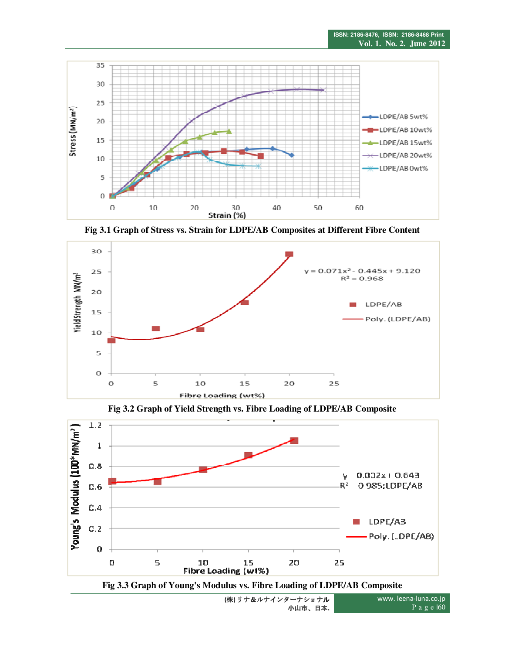

**Fig 3.1 Graph of Stress vs. Strain for LDPE/AB Composites at Different Fibre Content** 



**Fig 3.2 Graph of Yield Strength vs. Fibre Loading of LDPE/AB Composite**



**(**株**)** リナ&ルナインターナショナル 小山市、日本**.**

www. leena-luna.co.jp P a g e |60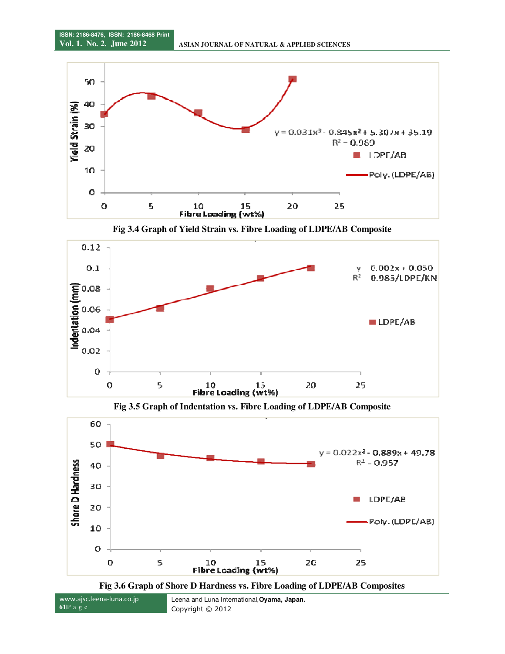

**Fig 3.4 Graph of Yield Strain vs. Fibre Loading of LDPE/AB Composite**



**Fig 3.5 Graph of Indentation vs. Fibre Loading of LDPE/AB Composite**





www.ajsc.leena-luna.co.jp **61**|P a g e Leena and Luna International,**Oyama, Japan.**  Copyright © 2012